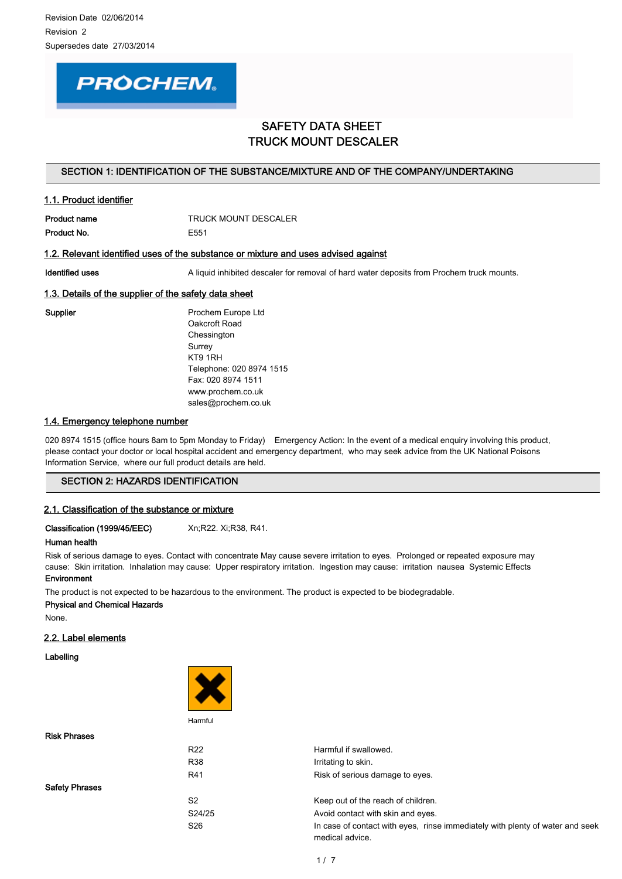

# SAFETY DATA SHEET TRUCK MOUNT DESCALER

## SECTION 1: IDENTIFICATION OF THE SUBSTANCE/MIXTURE AND OF THE COMPANY/UNDERTAKING

# 1.1. Product identifier

Product No. **E551** 

Product name TRUCK MOUNT DESCALER

## 1.2. Relevant identified uses of the substance or mixture and uses advised against

Identified uses **A** liquid inhibited descaler for removal of hard water deposits from Prochem truck mounts.

## 1.3. Details of the supplier of the safety data sheet

Supplier **Prochem Europe Ltd** Oakcroft Road Chessington **Surrey** KT9 1RH Telephone: 020 8974 1515 Fax: 020 8974 1511 www.prochem.co.uk sales@prochem.co.uk

## 1.4. Emergency telephone number

020 8974 1515 (office hours 8am to 5pm Monday to Friday) Emergency Action: In the event of a medical enquiry involving this product, please contact your doctor or local hospital accident and emergency department, who may seek advice from the UK National Poisons Information Service, where our full product details are held.

# SECTION 2: HAZARDS IDENTIFICATION

### 2.1. Classification of the substance or mixture

Classification (1999/45/EEC) Xn;R22. Xi;R38, R41.

### Human health

Risk of serious damage to eyes. Contact with concentrate May cause severe irritation to eyes. Prolonged or repeated exposure may cause: Skin irritation. Inhalation may cause: Upper respiratory irritation. Ingestion may cause: irritation nausea Systemic Effects Environment

The product is not expected to be hazardous to the environment. The product is expected to be biodegradable.

Physical and Chemical Hazards

None.

# 2.2. Label elements

Labelling

Risk Phrases

Safety Phrases



**Harmful** 

| R <sub>22</sub> | Harmful if swallowed.                                                                            |
|-----------------|--------------------------------------------------------------------------------------------------|
| R38             | Irritating to skin.                                                                              |
| R41             | Risk of serious damage to eyes.                                                                  |
| S <sub>2</sub>  | Keep out of the reach of children.                                                               |
| S24/25          | Avoid contact with skin and eyes.                                                                |
| S <sub>26</sub> | In case of contact with eyes, rinse immediately with plenty of water and seek<br>medical advice. |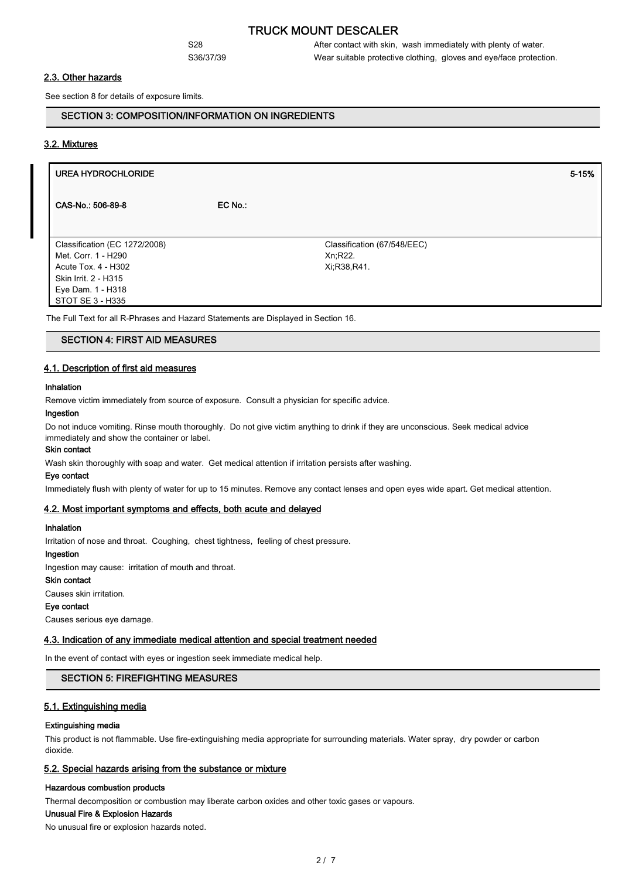S28 S28 After contact with skin, wash immediately with plenty of water. S36/37/39 Wear suitable protective clothing, gloves and eye/face protection.

## 2.3. Other hazards

See section 8 for details of exposure limits.

## SECTION 3: COMPOSITION/INFORMATION ON INGREDIENTS

### 3.2. Mixtures

# UREA HYDROCHLORIDE 5-15% CAS-No.: 506-89-8 **EC No.:** Classification (67/548/EEC) Xn;R22. Xi;R38,R41. Classification (EC 1272/2008) Met. Corr. 1 - H290 Acute Tox. 4 - H302 Skin Irrit. 2 - H315 Eye Dam. 1 - H318 STOT SE 3 - H335 The Full Text for all R-Phrases and Hazard Statements are Displayed in Section 16.

## SECTION 4: FIRST AID MEASURES

## 4.1. Description of first aid measures

#### Inhalation

Remove victim immediately from source of exposure. Consult a physician for specific advice.

### Ingestion

Do not induce vomiting. Rinse mouth thoroughly. Do not give victim anything to drink if they are unconscious. Seek medical advice immediately and show the container or label.

### Skin contact

Wash skin thoroughly with soap and water. Get medical attention if irritation persists after washing.

#### Eye contact

Immediately flush with plenty of water for up to 15 minutes. Remove any contact lenses and open eyes wide apart. Get medical attention.

#### 4.2. Most important symptoms and effects, both acute and delayed

#### Inhalation

Irritation of nose and throat. Coughing, chest tightness, feeling of chest pressure.

## Ingestion

Ingestion may cause: irritation of mouth and throat.

#### Skin contact

Causes skin irritation.

#### Eye contact

Causes serious eye damage.

#### 4.3. Indication of any immediate medical attention and special treatment needed

In the event of contact with eyes or ingestion seek immediate medical help.

## SECTION 5: FIREFIGHTING MEASURES

### 5.1. Extinguishing media

#### Extinguishing media

This product is not flammable. Use fire-extinguishing media appropriate for surrounding materials. Water spray, dry powder or carbon dioxide.

#### 5.2. Special hazards arising from the substance or mixture

#### Hazardous combustion products

Thermal decomposition or combustion may liberate carbon oxides and other toxic gases or vapours.

#### Unusual Fire & Explosion Hazards

No unusual fire or explosion hazards noted.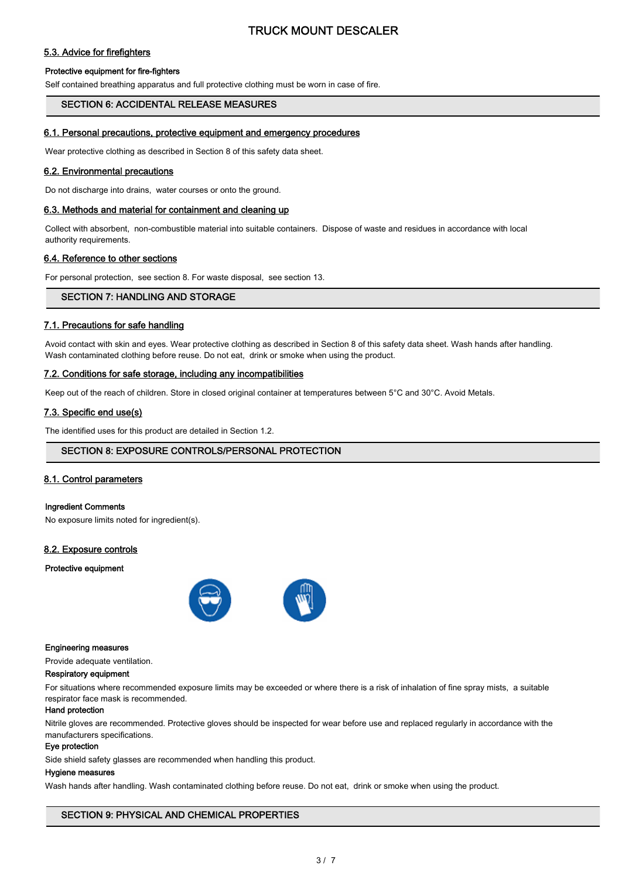# 5.3. Advice for firefighters

### Protective equipment for fire-fighters

Self contained breathing apparatus and full protective clothing must be worn in case of fire.

#### SECTION 6: ACCIDENTAL RELEASE MEASURES

## 6.1. Personal precautions, protective equipment and emergency procedures

Wear protective clothing as described in Section 8 of this safety data sheet.

## 6.2. Environmental precautions

Do not discharge into drains, water courses or onto the ground.

#### 6.3. Methods and material for containment and cleaning up

Collect with absorbent, non-combustible material into suitable containers. Dispose of waste and residues in accordance with local authority requirements.

### 6.4. Reference to other sections

For personal protection, see section 8. For waste disposal, see section 13.

## SECTION 7: HANDLING AND STORAGE

## 7.1. Precautions for safe handling

Avoid contact with skin and eyes. Wear protective clothing as described in Section 8 of this safety data sheet. Wash hands after handling. Wash contaminated clothing before reuse. Do not eat, drink or smoke when using the product.

#### 7.2. Conditions for safe storage, including any incompatibilities

Keep out of the reach of children. Store in closed original container at temperatures between 5°C and 30°C. Avoid Metals.

### 7.3. Specific end use(s)

The identified uses for this product are detailed in Section 1.2.

### SECTION 8: EXPOSURE CONTROLS/PERSONAL PROTECTION

## 8.1. Control parameters

#### Ingredient Comments

No exposure limits noted for ingredient(s).

#### 8.2. Exposure controls

#### Protective equipment



#### Engineering measures

Provide adequate ventilation.

#### Respiratory equipment

For situations where recommended exposure limits may be exceeded or where there is a risk of inhalation of fine spray mists, a suitable respirator face mask is recommended.

## Hand protection

Nitrile gloves are recommended. Protective gloves should be inspected for wear before use and replaced regularly in accordance with the manufacturers specifications.

#### Eye protection

Side shield safety glasses are recommended when handling this product.

#### Hygiene measures

Wash hands after handling. Wash contaminated clothing before reuse. Do not eat, drink or smoke when using the product.

### SECTION 9: PHYSICAL AND CHEMICAL PROPERTIES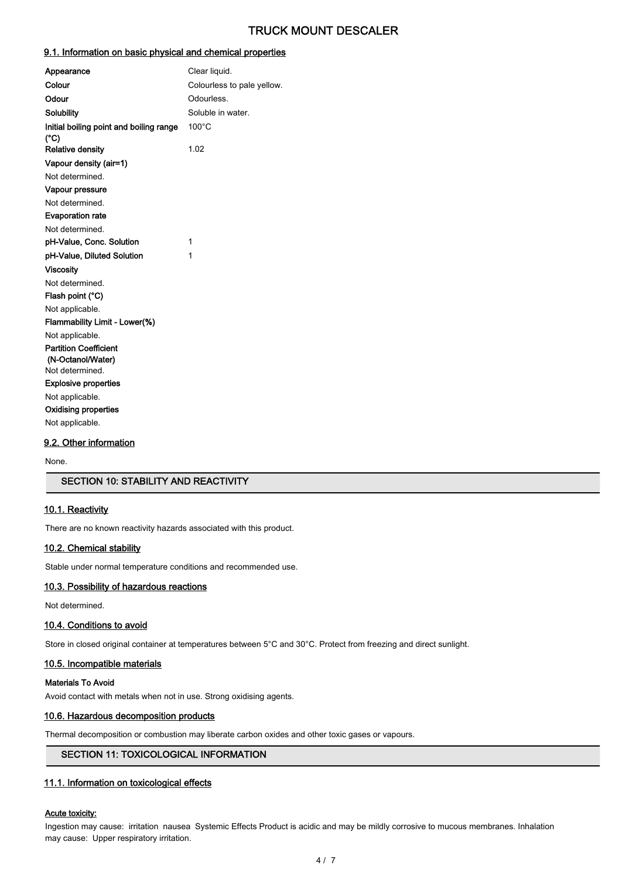# 9.1. Information on basic physical and chemical properties

| Appearance                                                                                                                                                                           | Clear liquid.              |
|--------------------------------------------------------------------------------------------------------------------------------------------------------------------------------------|----------------------------|
| Colour                                                                                                                                                                               | Colourless to pale yellow. |
| Odour                                                                                                                                                                                | Odourless.                 |
| Solubility                                                                                                                                                                           | Soluble in water.          |
| Initial boiling point and boiling range<br>(°C)                                                                                                                                      | 100°C                      |
| <b>Relative density</b>                                                                                                                                                              | 1.02                       |
| Vapour density (air=1)                                                                                                                                                               |                            |
| Not determined.                                                                                                                                                                      |                            |
| Vapour pressure                                                                                                                                                                      |                            |
| Not determined.                                                                                                                                                                      |                            |
| <b>Evaporation rate</b>                                                                                                                                                              |                            |
| Not determined.                                                                                                                                                                      |                            |
| pH-Value, Conc. Solution                                                                                                                                                             | 1                          |
| pH-Value, Diluted Solution                                                                                                                                                           | 1                          |
| <b>Viscositv</b>                                                                                                                                                                     |                            |
| Not determined.                                                                                                                                                                      |                            |
| Flash point (°C)                                                                                                                                                                     |                            |
| Not applicable.                                                                                                                                                                      |                            |
| Flammability Limit - Lower(%)                                                                                                                                                        |                            |
| Not applicable.<br><b>Partition Coefficient</b><br>(N-Octanol/Water)<br>Not determined.<br><b>Explosive properties</b><br>Not applicable.<br>Oxidising properties<br>Not applicable. |                            |
|                                                                                                                                                                                      |                            |

## 9.2. Other information

None.

# SECTION 10: STABILITY AND REACTIVITY

### 10.1. Reactivity

There are no known reactivity hazards associated with this product.

## 10.2. Chemical stability

Stable under normal temperature conditions and recommended use.

## 10.3. Possibility of hazardous reactions

Not determined.

## 10.4. Conditions to avoid

Store in closed original container at temperatures between 5°C and 30°C. Protect from freezing and direct sunlight.

## 10.5. Incompatible materials

#### Materials To Avoid

Avoid contact with metals when not in use. Strong oxidising agents.

## 10.6. Hazardous decomposition products

Thermal decomposition or combustion may liberate carbon oxides and other toxic gases or vapours.

# SECTION 11: TOXICOLOGICAL INFORMATION

# 11.1. Information on toxicological effects

### Acute toxicity:

Ingestion may cause: irritation nausea Systemic Effects Product is acidic and may be mildly corrosive to mucous membranes. Inhalation may cause: Upper respiratory irritation.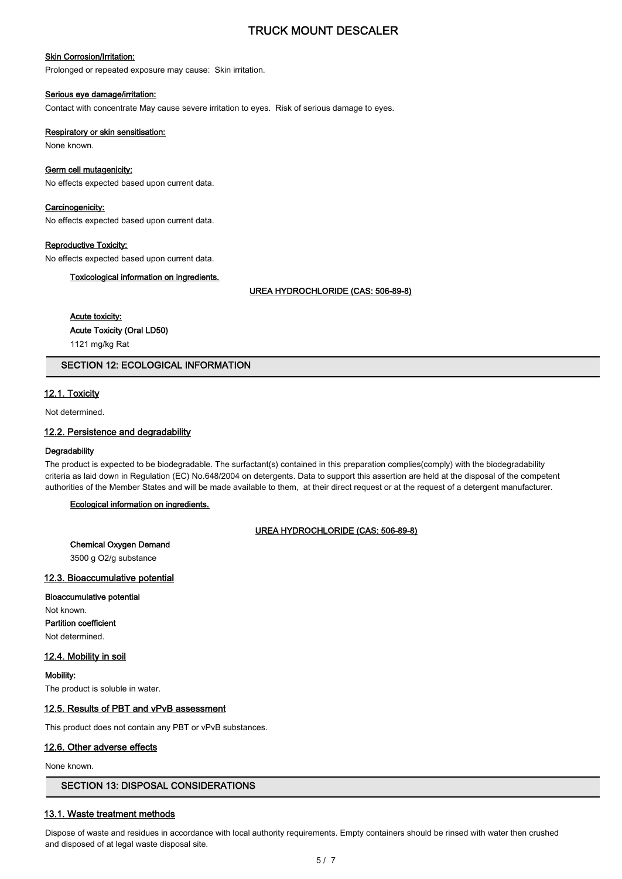#### Skin Corrosion/Irritation:

Prolonged or repeated exposure may cause: Skin irritation.

#### Serious eye damage/irritation:

Contact with concentrate May cause severe irritation to eyes. Risk of serious damage to eyes.

#### Respiratory or skin sensitisation:

None known.

#### Germ cell mutagenicity:

No effects expected based upon current data.

#### Carcinogenicity:

No effects expected based upon current data.

### Reproductive Toxicity:

No effects expected based upon current data.

#### Toxicological information on ingredients.

UREA HYDROCHLORIDE (CAS: 506-89-8)

# Acute toxicity:

Acute Toxicity (Oral LD50)

1121 mg/kg Rat

# SECTION 12: ECOLOGICAL INFORMATION

# 12.1. Toxicity

Not determined.

## 12.2. Persistence and degradability

#### **Degradability**

The product is expected to be biodegradable. The surfactant(s) contained in this preparation complies(comply) with the biodegradability criteria as laid down in Regulation (EC) No.648/2004 on detergents. Data to support this assertion are held at the disposal of the competent authorities of the Member States and will be made available to them, at their direct request or at the request of a detergent manufacturer.

# Ecological information on ingredients.

### UREA HYDROCHLORIDE (CAS: 506-89-8)

#### Chemical Oxygen Demand

3500 g O2/g substance

#### 12.3. Bioaccumulative potential

#### Bioaccumulative potential

Not known. Partition coefficient Not determined.

# 12.4. Mobility in soil

Mobility:

The product is soluble in water.

### 12.5. Results of PBT and vPvB assessment

This product does not contain any PBT or vPvB substances.

### 12.6. Other adverse effects

None known.

## SECTION 13: DISPOSAL CONSIDERATIONS

### 13.1. Waste treatment methods

Dispose of waste and residues in accordance with local authority requirements. Empty containers should be rinsed with water then crushed and disposed of at legal waste disposal site.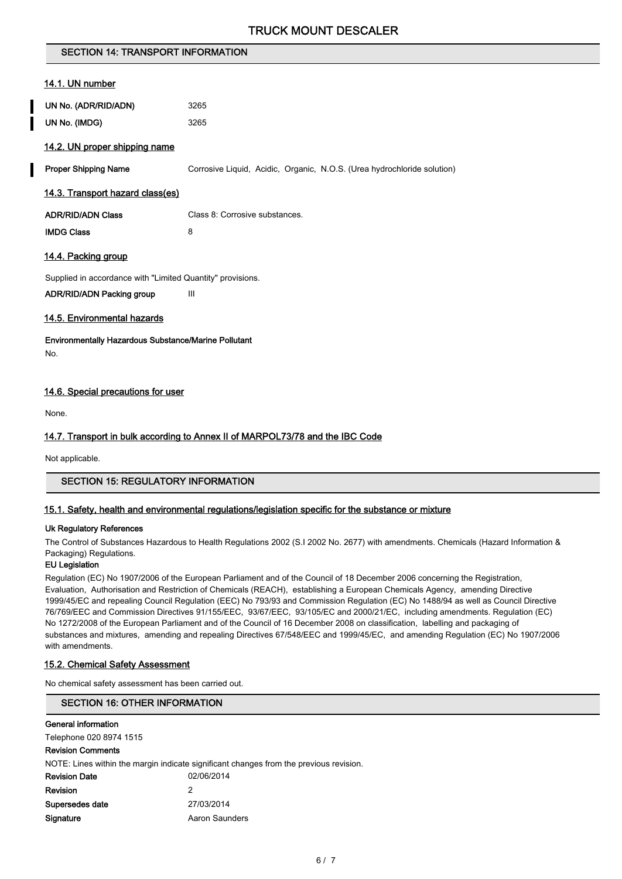# SECTION 14: TRANSPORT INFORMATION

## 14.1. UN number

| UN No. (ADR/RID/ADN) | 3265 |
|----------------------|------|
| UN No. (IMDG)        | 3265 |

## 14.2. UN proper shipping name

**Proper Shipping Name** Corrosive Liquid, Acidic, Organic, N.O.S. (Urea hydrochloride solution)

## 14.3. Transport hazard class(es)

| <b>ADR/RID/ADN Class</b> | Class 8: Corrosive substances. |
|--------------------------|--------------------------------|
|                          |                                |

IMDG Class 8

## 14.4. Packing group

Supplied in accordance with "Limited Quantity" provisions. ADR/RID/ADN Packing group III

# 14.5. Environmental hazards

Environmentally Hazardous Substance/Marine Pollutant No.

## 14.6. Special precautions for user

None.

## 14.7. Transport in bulk according to Annex II of MARPOL73/78 and the IBC Code

Not applicable.

# SECTION 15: REGULATORY INFORMATION

### 15.1. Safety, health and environmental regulations/legislation specific for the substance or mixture

## Uk Regulatory References

The Control of Substances Hazardous to Health Regulations 2002 (S.I 2002 No. 2677) with amendments. Chemicals (Hazard Information & Packaging) Regulations.

### EU Legislation

Regulation (EC) No 1907/2006 of the European Parliament and of the Council of 18 December 2006 concerning the Registration, Evaluation, Authorisation and Restriction of Chemicals (REACH), establishing a European Chemicals Agency, amending Directive 1999/45/EC and repealing Council Regulation (EEC) No 793/93 and Commission Regulation (EC) No 1488/94 as well as Council Directive 76/769/EEC and Commission Directives 91/155/EEC, 93/67/EEC, 93/105/EC and 2000/21/EC, including amendments. Regulation (EC) No 1272/2008 of the European Parliament and of the Council of 16 December 2008 on classification, labelling and packaging of substances and mixtures, amending and repealing Directives 67/548/EEC and 1999/45/EC, and amending Regulation (EC) No 1907/2006 with amendments.

### 15.2. Chemical Safety Assessment

No chemical safety assessment has been carried out.

## SECTION 16: OTHER INFORMATION

#### General information

Telephone 020 8974 1515

# Revision Comments

NOTE: Lines within the margin indicate significant changes from the previous revision.

| 02/06/2014     |
|----------------|
| 2              |
| 27/03/2014     |
| Aaron Saunders |
|                |